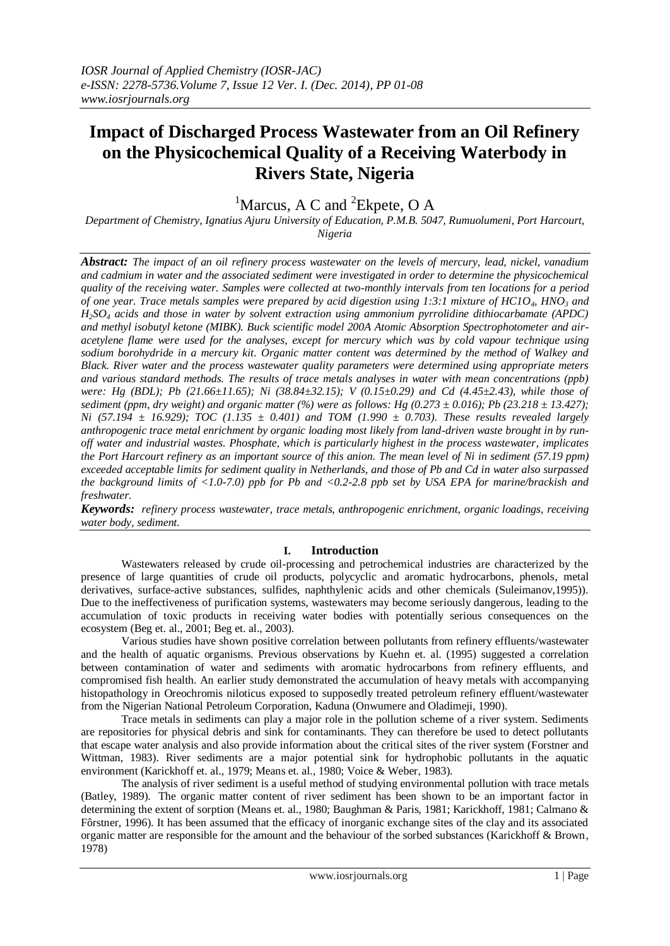# **Impact of Discharged Process Wastewater from an Oil Refinery on the Physicochemical Quality of a Receiving Waterbody in Rivers State, Nigeria**

<sup>1</sup>Marcus, A C and <sup>2</sup>Ekpete, O A

*Department of Chemistry, Ignatius Ajuru University of Education, P.M.B. 5047, Rumuolumeni, Port Harcourt, Nigeria*

*Abstract: The impact of an oil refinery process wastewater on the levels of mercury, lead, nickel, vanadium and cadmium in water and the associated sediment were investigated in order to determine the physicochemical quality of the receiving water. Samples were collected at two-monthly intervals from ten locations for a period of one year. Trace metals samples were prepared by acid digestion using 1:3:1 mixture of HC1O4, HNO<sup>3</sup> and H2SO<sup>4</sup> acids and those in water by solvent extraction using ammonium pyrrolidine dithiocarbamate (APDC) and methyl isobutyl ketone (MIBK). Buck scientific model 200A Atomic Absorption Spectrophotometer and airacetylene flame were used for the analyses, except for mercury which was by cold vapour technique using sodium borohydride in a mercury kit. Organic matter content was determined by the method of Walkey and Black. River water and the process wastewater quality parameters were determined using appropriate meters and various standard methods. The results of trace metals analyses in water with mean concentrations (ppb) were: Hg (BDL); Pb (21.66±11.65); Ni (38.84±32.15); V (0.15±0.29) and Cd (4.45±2.43), while those of sediment (ppm, dry weight) and organic matter (%) were as follows: Hg (0.273 ± 0.016); Pb (23.218 ± 13.427); Ni (57.194 ± 16.929); TOC (1.135 ± 0.401) and TOM (1.990 ± 0.703). These results revealed largely anthropogenic trace metal enrichment by organic loading most likely from land-driven waste brought in by runoff water and industrial wastes. Phosphate, which is particularly highest in the process wastewater, implicates the Port Harcourt refinery as an important source of this anion. The mean level of Ni in sediment (57.19 ppm) exceeded acceptable limits for sediment quality in Netherlands, and those of Pb and Cd in water also surpassed the background limits of <1.0-7.0) ppb for Pb and <0.2-2.8 ppb set by USA EPA for marine/brackish and freshwater.* 

*Keywords:**refinery process wastewater, trace metals, anthropogenic enrichment, organic loadings, receiving water body, sediment.*

## **I. Introduction**

Wastewaters released by crude oil-processing and petrochemical industries are characterized by the presence of large quantities of crude oil products, polycyclic and aromatic hydrocarbons, phenols, metal derivatives, surface-active substances, sulfides, naphthylenic acids and other chemicals (Suleimanov,1995)). Due to the ineffectiveness of purification systems, wastewaters may become seriously dangerous, leading to the accumulation of toxic products in receiving water bodies with potentially serious consequences on the ecosystem (Beg et. al., 2001; Beg et. al., 2003).

Various studies have shown positive correlation between pollutants from refinery effluents/wastewater and the health of aquatic organisms. Previous observations by Kuehn et. al. (1995) suggested a correlation between contamination of water and sediments with aromatic hydrocarbons from refinery effluents, and compromised fish health. An earlier study demonstrated the accumulation of heavy metals with accompanying histopathology in Oreochromis niloticus exposed to supposedly treated petroleum refinery effluent/wastewater from the Nigerian National Petroleum Corporation, Kaduna (Onwumere and Oladimeji, 1990).

Trace metals in sediments can play a major role in the pollution scheme of a river system. Sediments are repositories for physical debris and sink for contaminants. They can therefore be used to detect pollutants that escape water analysis and also provide information about the critical sites of the river system (Forstner and Wittman, 1983). River sediments are a major potential sink for hydrophobic pollutants in the aquatic environment (Karickhoff et. al., 1979; Means et. al., 1980; Voice & Weber, 1983).

The analysis of river sediment is a useful method of studying environmental pollution with trace metals (Batley, 1989). The organic matter content of river sediment has been shown to be an important factor in determining the extent of sorption (Means et. al., 1980; Baughman & Paris, 1981; Karickhoff, 1981; Calmano & Fôrstner, 1996). It has been assumed that the efficacy of inorganic exchange sites of the clay and its associated organic matter are responsible for the amount and the behaviour of the sorbed substances (Karickhoff & Brown, 1978)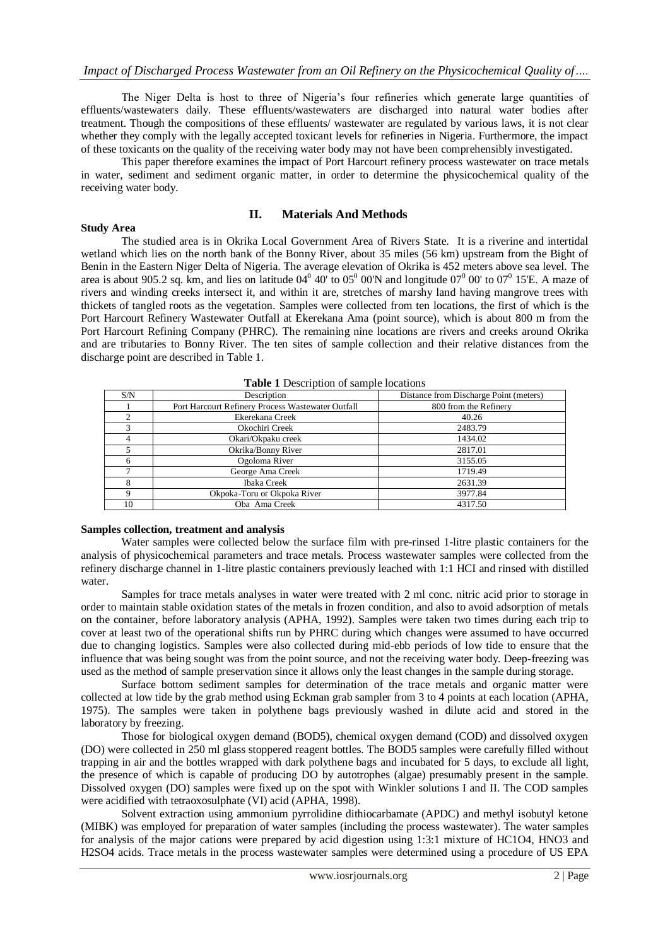The Niger Delta is host to three of Nigeria's four refineries which generate large quantities of effluents/wastewaters daily. These effluents/wastewaters are discharged into natural water bodies after treatment. Though the compositions of these effluents/ wastewater are regulated by various laws, it is not clear whether they comply with the legally accepted toxicant levels for refineries in Nigeria. Furthermore, the impact of these toxicants on the quality of the receiving water body may not have been comprehensibly investigated.

This paper therefore examines the impact of Port Harcourt refinery process wastewater on trace metals in water, sediment and sediment organic matter, in order to determine the physicochemical quality of the receiving water body.

### **II. Materials And Methods**

#### **Study Area**

The studied area is in Okrika Local Government Area of Rivers State. It is a riverine and intertidal wetland which lies on the north bank of the Bonny River, about 35 miles (56 km) upstream from the Bight of Benin in the Eastern Niger Delta of Nigeria. The average elevation of Okrika is 452 meters above sea level. The area is about 905.2 sq. km, and lies on latitude  $04^0$  40' to  $05^0$  00'N and longitude  $07^0$  00' to  $07^0$  15'E. A maze of rivers and winding creeks intersect it, and within it are, stretches of marshy land having mangrove trees with thickets of tangled roots as the vegetation. Samples were collected from ten locations, the first of which is the Port Harcourt Refinery Wastewater Outfall at Ekerekana Ama (point source), which is about 800 m from the Port Harcourt Refining Company (PHRC). The remaining nine locations are rivers and creeks around Okrika and are tributaries to Bonny River. The ten sites of sample collection and their relative distances from the discharge point are described in Table 1.

|     | <b>Table 1</b> Description of sample focations    |                                        |  |  |  |  |  |  |  |
|-----|---------------------------------------------------|----------------------------------------|--|--|--|--|--|--|--|
| S/N | Description                                       | Distance from Discharge Point (meters) |  |  |  |  |  |  |  |
|     | Port Harcourt Refinery Process Wastewater Outfall | 800 from the Refinery                  |  |  |  |  |  |  |  |
|     | Ekerekana Creek                                   | 40.26                                  |  |  |  |  |  |  |  |
| 3   | Okochiri Creek                                    | 2483.79                                |  |  |  |  |  |  |  |
| 4   | Okari/Okpaku creek                                | 1434.02                                |  |  |  |  |  |  |  |
|     | Okrika/Bonny River                                | 2817.01                                |  |  |  |  |  |  |  |
|     | Ogoloma River                                     | 3155.05                                |  |  |  |  |  |  |  |
|     | George Ama Creek                                  | 1719.49                                |  |  |  |  |  |  |  |
| 8   | Ibaka Creek                                       | 2631.39                                |  |  |  |  |  |  |  |
| 9   | Okpoka-Toru or Okpoka River                       | 3977.84                                |  |  |  |  |  |  |  |
| 10  | Oba Ama Creek                                     | 4317.50                                |  |  |  |  |  |  |  |

**Table 1** Description of sample locations

#### **Samples collection, treatment and analysis**

Water samples were collected below the surface film with pre-rinsed 1-litre plastic containers for the analysis of physicochemical parameters and trace metals. Process wastewater samples were collected from the refinery discharge channel in 1-litre plastic containers previously leached with 1:1 HCI and rinsed with distilled water.

Samples for trace metals analyses in water were treated with 2 ml conc. nitric acid prior to storage in order to maintain stable oxidation states of the metals in frozen condition, and also to avoid adsorption of metals on the container, before laboratory analysis (APHA, 1992). Samples were taken two times during each trip to cover at least two of the operational shifts run by PHRC during which changes were assumed to have occurred due to changing logistics. Samples were also collected during mid-ebb periods of low tide to ensure that the influence that was being sought was from the point source, and not the receiving water body. Deep-freezing was used as the method of sample preservation since it allows only the least changes in the sample during storage.

Surface bottom sediment samples for determination of the trace metals and organic matter were collected at low tide by the grab method using Eckman grab sampler from 3 to 4 points at each location (APHA, 1975). The samples were taken in polythene bags previously washed in dilute acid and stored in the laboratory by freezing.

Those for biological oxygen demand (BOD5), chemical oxygen demand (COD) and dissolved oxygen (DO) were collected in 250 ml glass stoppered reagent bottles. The BOD5 samples were carefully filled without trapping in air and the bottles wrapped with dark polythene bags and incubated for 5 days, to exclude all light, the presence of which is capable of producing DO by autotrophes (algae) presumably present in the sample. Dissolved oxygen (DO) samples were fixed up on the spot with Winkler solutions I and II. The COD samples were acidified with tetraoxosulphate (VI) acid (APHA, 1998).

Solvent extraction using ammonium pyrrolidine dithiocarbamate (APDC) and methyl isobutyl ketone (MIBK) was employed for preparation of water samples (including the process wastewater). The water samples for analysis of the major cations were prepared by acid digestion using 1:3:1 mixture of HC1O4, HNO3 and H2SO4 acids. Trace metals in the process wastewater samples were determined using a procedure of US EPA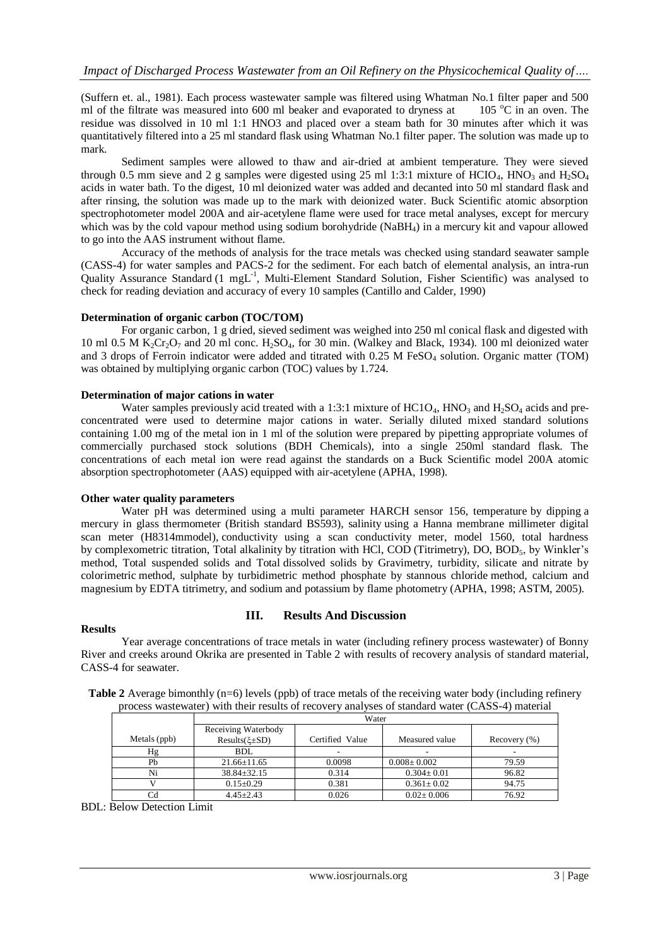(Suffern et. al., 1981). Each process wastewater sample was filtered using Whatman No.1 filter paper and 500 ml of the filtrate was measured into 600 ml beaker and evaporated to dryness at 105  $\degree$ C in an oven. The residue was dissolved in 10 ml 1:1 HNO3 and placed over a steam bath for 30 minutes after which it was quantitatively filtered into a 25 ml standard flask using Whatman No.1 filter paper. The solution was made up to mark.

Sediment samples were allowed to thaw and air-dried at ambient temperature. They were sieved through 0.5 mm sieve and 2 g samples were digested using 25 ml 1:3:1 mixture of HCIO<sub>4</sub>, HNO<sub>3</sub> and H<sub>2</sub>SO<sub>4</sub> acids in water bath. To the digest, 10 ml deionized water was added and decanted into 50 ml standard flask and after rinsing, the solution was made up to the mark with deionized water. Buck Scientific atomic absorption spectrophotometer model 200A and air-acetylene flame were used for trace metal analyses, except for mercury which was by the cold vapour method using sodium borohydride (NaBH<sub>4</sub>) in a mercury kit and vapour allowed to go into the AAS instrument without flame.

Accuracy of the methods of analysis for the trace metals was checked using standard seawater sample (CASS-4) for water samples and PACS-2 for the sediment. For each batch of elemental analysis, an intra-run Quality Assurance Standard (1 mgL<sup>-1</sup>, Multi-Element Standard Solution, Fisher Scientific) was analysed to check for reading deviation and accuracy of every 10 samples (Cantillo and Calder, 1990)

#### **Determination of organic carbon (TOC/TOM)**

For organic carbon, 1 g dried, sieved sediment was weighed into 250 ml conical flask and digested with 10 ml 0.5 M  $K_2Cr_2O_7$  and 20 ml conc. H<sub>2</sub>SO<sub>4</sub>, for 30 min. (Walkey and Black, 1934). 100 ml deionized water and 3 drops of Ferroin indicator were added and titrated with  $0.25$  M FeSO<sub>4</sub> solution. Organic matter (TOM) was obtained by multiplying organic carbon (TOC) values by 1.724.

## **Determination of major cations in water**

Water samples previously acid treated with a 1:3:1 mixture of HC1O<sub>4</sub>, HNO<sub>3</sub> and H<sub>2</sub>SO<sub>4</sub> acids and preconcentrated were used to determine major cations in water. Serially diluted mixed standard solutions containing 1.00 mg of the metal ion in 1 ml of the solution were prepared by pipetting appropriate volumes of commercially purchased stock solutions (BDH Chemicals), into a single 250ml standard flask. The concentrations of each metal ion were read against the standards on a Buck Scientific model 200A atomic absorption spectrophotometer (AAS) equipped with air-acetylene (APHA, 1998).

#### **Other water quality parameters**

Water pH was determined using a multi parameter HARCH sensor 156, temperature by dipping a mercury in glass thermometer (British standard BS593), salinity using a Hanna membrane millimeter digital scan meter (H8314mmodel), conductivity using a scan conductivity meter, model 1560, total hardness by complexometric titration, Total alkalinity by titration with HCl, COD (Titrimetry), DO, BOD<sub>5</sub>, by Winkler's method, Total suspended solids and Total dissolved solids by Gravimetry, turbidity, silicate and nitrate by colorimetric method, sulphate by turbidimetric method phosphate by stannous chloride method, calcium and magnesium by EDTA titrimetry, and sodium and potassium by flame photometry (APHA, 1998; ASTM, 2005).

#### **Results**

## **III. Results And Discussion**

Year average concentrations of trace metals in water (including refinery process wastewater) of Bonny River and creeks around Okrika are presented in Table 2 with results of recovery analysis of standard material, CASS-4 for seawater.

|              |                         | Water           |                   |                  |  |  |  |  |  |  |
|--------------|-------------------------|-----------------|-------------------|------------------|--|--|--|--|--|--|
|              | Receiving Waterbody     |                 |                   |                  |  |  |  |  |  |  |
| Metals (ppb) | Results( $\xi \pm SD$ ) | Certified Value | Measured value    | Recovery $(\% )$ |  |  |  |  |  |  |
| Hg           | BDL                     |                 |                   |                  |  |  |  |  |  |  |
| Ph           | $21.66 \pm 11.65$       | 0.0098          | $0.008 \pm 0.002$ | 79.59            |  |  |  |  |  |  |
| Ni           | $38.84 \pm 32.15$       | 0.314           | $0.304 \pm 0.01$  | 96.82            |  |  |  |  |  |  |
|              | $0.15 \pm 0.29$         | 0.381           | $0.361 \pm 0.02$  | 94.75            |  |  |  |  |  |  |
|              | $4.45 \pm 2.43$         | 0.026           | $0.02 \pm 0.006$  | 76.92            |  |  |  |  |  |  |

**Table 2** Average bimonthly (n=6) levels (ppb) of trace metals of the receiving water body (including refinery process wastewater) with their results of recovery analyses of standard water (CASS-4) material

BDL: Below Detection Limit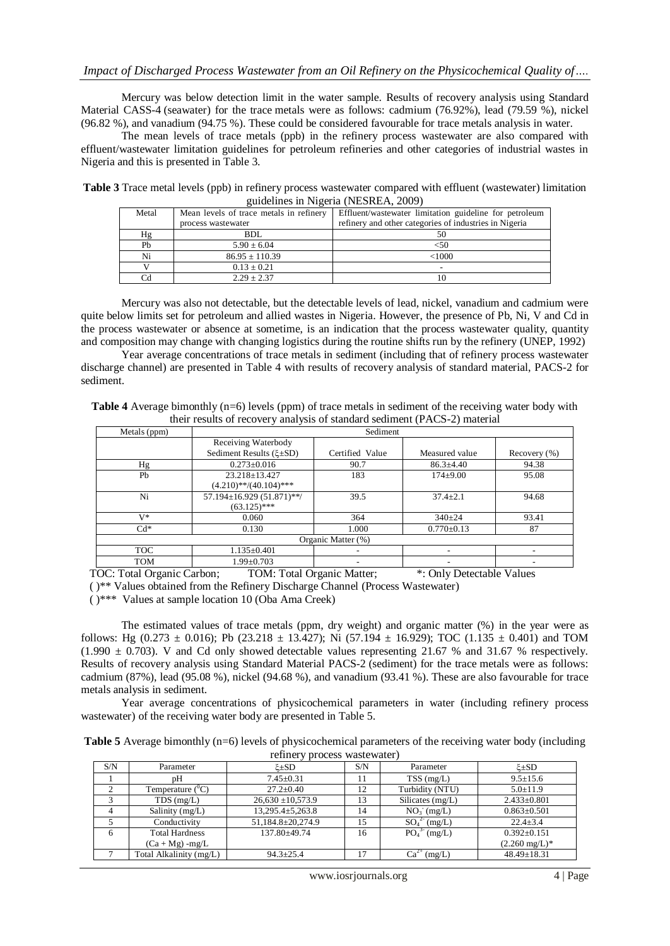Mercury was below detection limit in the water sample. Results of recovery analysis using Standard Material CASS-4 (seawater) for the trace metals were as follows: cadmium (76.92%), lead (79.59 %), nickel (96.82 %), and vanadium (94.75 %). These could be considered favourable for trace metals analysis in water.

The mean levels of trace metals (ppb) in the refinery process wastewater are also compared with effluent/wastewater limitation guidelines for petroleum refineries and other categories of industrial wastes in Nigeria and this is presented in Table 3.

**Table 3** Trace metal levels (ppb) in refinery process wastewater compared with effluent (wastewater) limitation guidelines in Nigeria (NESREA, 2009)

| Metal | Mean levels of trace metals in refinery | Effluent/wastewater limitation guideline for petroleum |
|-------|-----------------------------------------|--------------------------------------------------------|
|       | process wastewater                      | refinery and other categories of industries in Nigeria |
| Hg    | <b>BDL</b>                              | 50                                                     |
| Pb    | $5.90 \pm 6.04$                         | <50                                                    |
| Ni    | $86.95 \pm 110.39$                      | < 1000                                                 |
|       | $0.13 \pm 0.21$                         |                                                        |
|       | $2.29 + 2.37$                           |                                                        |

Mercury was also not detectable, but the detectable levels of lead, nickel, vanadium and cadmium were quite below limits set for petroleum and allied wastes in Nigeria. However, the presence of Pb, Ni, V and Cd in the process wastewater or absence at sometime, is an indication that the process wastewater quality, quantity and composition may change with changing logistics during the routine shifts run by the refinery (UNEP, 1992)

Year average concentrations of trace metals in sediment (including that of refinery process wastewater discharge channel) are presented in Table 4 with results of recovery analysis of standard material, PACS-2 for sediment.

| <b>Table 4</b> Average bimonthly $(n=6)$ levels (ppm) of trace metals in sediment of the receiving water body with |  |
|--------------------------------------------------------------------------------------------------------------------|--|
| their results of recovery analysis of standard sediment (PACS-2) material                                          |  |

| Metals (ppm)       | Sediment                        |                 |                  |                  |  |  |  |  |
|--------------------|---------------------------------|-----------------|------------------|------------------|--|--|--|--|
|                    | Receiving Waterbody             |                 |                  |                  |  |  |  |  |
|                    | Sediment Results $(\xi \pm SD)$ | Certified Value | Measured value   | Recovery $(\% )$ |  |  |  |  |
| Hg                 | $0.273 \pm 0.016$               | 90.7            | $86.3 \pm 4.40$  | 94.38            |  |  |  |  |
| Pb                 | $23.218 \pm 13.427$             | 183             | $174+9.00$       | 95.08            |  |  |  |  |
|                    | $(4.210)$ **/(40.104)***        |                 |                  |                  |  |  |  |  |
| Ni                 | 57.194±16.929 (51.871)**/       | 39.5            | $37.4 + 2.1$     | 94.68            |  |  |  |  |
|                    | $(63.125)$ ***                  |                 |                  |                  |  |  |  |  |
| $V^*$              | 0.060                           | 364             | $340 \pm 24$     | 93.41            |  |  |  |  |
| $Cd*$              | 0.130                           | 1.000           | $0.770 \pm 0.13$ | 87               |  |  |  |  |
| Organic Matter (%) |                                 |                 |                  |                  |  |  |  |  |
| TOC.               | $1.135 \pm 0.401$               |                 |                  |                  |  |  |  |  |
| TOM                | $1.99 \pm 0.703$                |                 |                  |                  |  |  |  |  |

TOC: Total Organic Carbon; TOM: Total Organic Matter; \*: Only Detectable Values

( )\*\* Values obtained from the Refinery Discharge Channel (Process Wastewater)

( )\*\*\* Values at sample location 10 (Oba Ama Creek)

The estimated values of trace metals (ppm, dry weight) and organic matter (%) in the year were as follows: Hg (0.273  $\pm$  0.016); Pb (23.218  $\pm$  13.427); Ni (57.194  $\pm$  16.929); TOC (1.135  $\pm$  0.401) and TOM  $(1.990 \pm 0.703)$ . V and Cd only showed detectable values representing 21.67 % and 31.67 % respectively. Results of recovery analysis using Standard Material PACS-2 (sediment) for the trace metals were as follows: cadmium (87%), lead (95.08 %), nickel (94.68 %), and vanadium (93.41 %). These are also favourable for trace metals analysis in sediment.

Year average concentrations of physicochemical parameters in water (including refinery process wastewater) of the receiving water body are presented in Table 5.

| <b>Table 5</b> Average bimonthly (n=6) levels of physicochemical parameters of the receiving water body (including |  |
|--------------------------------------------------------------------------------------------------------------------|--|
| refinery process wastewater)                                                                                       |  |

| S/N | Parameter                 | . .<br>≿±SD            | S/N | Parameter           | $\&\pm SD$               |
|-----|---------------------------|------------------------|-----|---------------------|--------------------------|
|     | pН                        | $7.45 \pm 0.31$        | 11  | $TSS$ (mg/L)        | $9.5 \pm 15.6$           |
|     | Temperature $(^{\circ}C)$ | $27.2 \pm 0.40$        | 12  | Turbidity (NTU)     | $5.0 \pm 11.9$           |
|     | $TDS$ (mg/L)              | $26,630 \pm 10,573.9$  | 13  | Silicates $(mg/L)$  | $2.433 \pm 0.801$        |
|     | Salinity (mg/L)           | $13,295.4 \pm 5,263.8$ | 14  | $NO3$ (mg/L)        | $0.863 \pm 0.501$        |
|     | Conductivity              | 51,184.8±20,274.9      | 15  | $SO_4^{2-}$ (mg/L)  | $22.4 \pm 3.4$           |
| 6   | <b>Total Hardness</b>     | 137.80+49.74           | 16  | $PO_4^{3}$ (mg/L)   | $0.392 \pm 0.151$        |
|     | $(Ca + Mg)$ -mg/L         |                        |     |                     | $(2.260 \text{ mg/L})^*$ |
|     | Total Alkalinity (mg/L)   | $94.3 \pm 25.4$        | 17  | $Ca^{2+}$<br>(mg/L) | $48.49 \pm 18.31$        |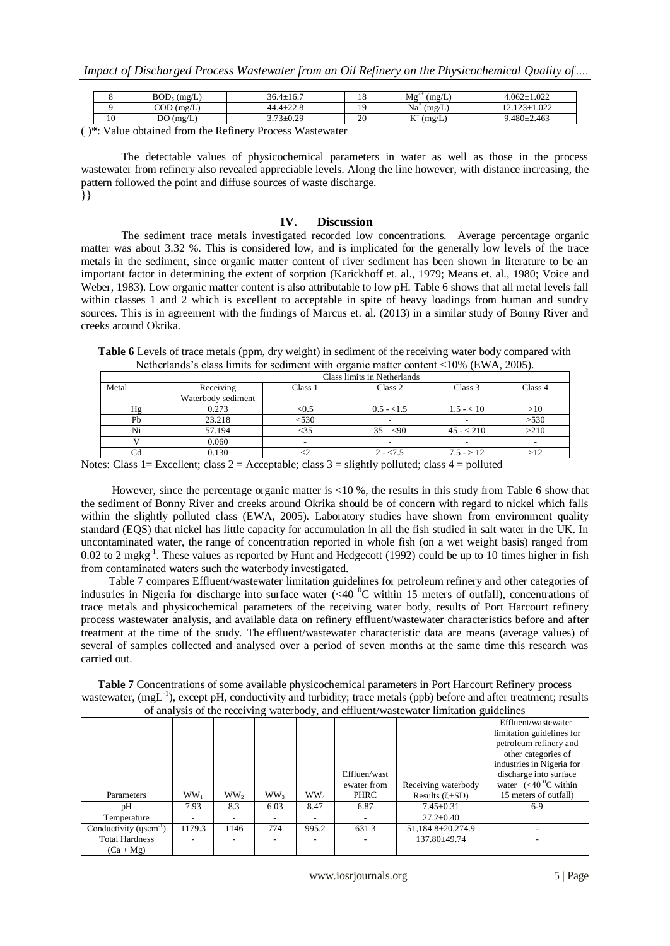*Impact of Discharged Process Wastewater from an Oil Refinery on the Physicochemical Quality of….*

|    | $BOD_5$ (mg/L) | $36.4 \pm 16.7$ | 18 | $Mg^2$<br>(mg/L)  | $4.062 \pm 1.022$  |
|----|----------------|-----------------|----|-------------------|--------------------|
|    | $COD$ (mg/L)   | $44.4 \pm 22.8$ | 19 | $Na+$<br>(mg/L)   | $12.123 \pm 1.022$ |
| 10 | DO(mg/L)       | $3.73 \pm 0.29$ | 20 | T<br>(mg/L)<br>n. | $9.480 \pm 2.463$  |

( )\*: Value obtained from the Refinery Process Wastewater

The detectable values of physicochemical parameters in water as well as those in the process wastewater from refinery also revealed appreciable levels. Along the line however, with distance increasing, the pattern followed the point and diffuse sources of waste discharge. }}

#### **IV. Discussion**

The sediment trace metals investigated recorded low concentrations. Average percentage organic matter was about 3.32 %. This is considered low, and is implicated for the generally low levels of the trace metals in the sediment, since organic matter content of river sediment has been shown in literature to be an important factor in determining the extent of sorption (Karickhoff et. al., 1979; Means et. al., 1980; Voice and Weber, 1983). Low organic matter content is also attributable to low pH. Table 6 shows that all metal levels fall within classes 1 and 2 which is excellent to acceptable in spite of heavy loadings from human and sundry sources. This is in agreement with the findings of Marcus et. al. (2013) in a similar study of Bonny River and creeks around Okrika.

**Table 6** Levels of trace metals (ppm, dry weight) in sediment of the receiving water body compared with Netherlands's class limits for sediment with organic matter content <10% (EWA, 2005).

|       | Class limits in Netherlands |         |                          |              |         |  |  |  |  |  |
|-------|-----------------------------|---------|--------------------------|--------------|---------|--|--|--|--|--|
| Metal | Receiving                   | Class 1 | Class 2                  | Class 3      | Class 4 |  |  |  |  |  |
|       | Waterbody sediment          |         |                          |              |         |  |  |  |  |  |
| Ηg    | 0.273                       | < 0.5   | $0.5 - 1.5$              | $1.5 - < 10$ | >10     |  |  |  |  |  |
| Pb    | 23.218                      | < 530   |                          |              | >530    |  |  |  |  |  |
| Ni    | 57.194                      | $<$ 35  | $35 - 50$                | $45 - 210$   | >210    |  |  |  |  |  |
|       | 0.060                       |         | $\overline{\phantom{0}}$ |              | -       |  |  |  |  |  |
| Сd    | 0.130                       |         | $2 - 5$                  | $7.5 - > 12$ |         |  |  |  |  |  |

Notes: Class 1= Excellent; class 2 = Acceptable; class 3 = slightly polluted; class 4 = polluted

 However, since the percentage organic matter is <10 %, the results in this study from Table 6 show that the sediment of Bonny River and creeks around Okrika should be of concern with regard to nickel which falls within the slightly polluted class (EWA, 2005). Laboratory studies have shown from environment quality standard (EQS) that nickel has little capacity for accumulation in all the fish studied in salt water in the UK. In uncontaminated water, the range of concentration reported in whole fish (on a wet weight basis) ranged from 0.02 to 2 mgkg<sup>-1</sup>. These values as reported by Hunt and Hedgecott (1992) could be up to 10 times higher in fish from contaminated waters such the waterbody investigated.

 Table 7 compares Effluent/wastewater limitation guidelines for petroleum refinery and other categories of industries in Nigeria for discharge into surface water  $\langle$  <40  $\rm{^0C}$  within 15 meters of outfall), concentrations of trace metals and physicochemical parameters of the receiving water body, results of Port Harcourt refinery process wastewater analysis, and available data on refinery effluent/wastewater characteristics before and after treatment at the time of the study. The effluent/wastewater characteristic data are means (average values) of several of samples collected and analysed over a period of seven months at the same time this research was carried out.

**Table 7** Concentrations of some available physicochemical parameters in Port Harcourt Refinery process wastewater, (mgL<sup>-1</sup>), except pH, conductivity and turbidity; trace metals (ppb) before and after treatment; results of analysis of the receiving waterbody, and effluent/wastewater limitation guidelines

|                              |        |                 | ັ               | <u>.</u>        |              |                        |                                  |
|------------------------------|--------|-----------------|-----------------|-----------------|--------------|------------------------|----------------------------------|
|                              |        |                 |                 |                 |              |                        | Effluent/wastewater              |
|                              |        |                 |                 |                 |              |                        | limitation guidelines for        |
|                              |        |                 |                 |                 |              |                        | petroleum refinery and           |
|                              |        |                 |                 |                 |              |                        | other categories of              |
|                              |        |                 |                 |                 |              |                        | industries in Nigeria for        |
|                              |        |                 |                 |                 | Effluen/wast |                        | discharge into surface           |
|                              |        |                 |                 |                 | ewater from  | Receiving waterbody    | water $(<10^{9}C \text{ within}$ |
| Parameters                   | $WW_1$ | WW <sub>2</sub> | WW <sub>3</sub> | WW <sub>4</sub> | PHRC         | Results $(\xi \pm SD)$ | 15 meters of outfall)            |
| pΗ                           | 7.93   | 8.3             | 6.03            | 8.47            | 6.87         | $7.45 \pm 0.31$        | $6-9$                            |
| Temperature                  |        |                 |                 |                 |              | $27.2 \pm 0.40$        |                                  |
| Conductivity ( $uscm^{-1}$ ) | 1179.3 | 1146            | 774             | 995.2           | 631.3        | 51,184.8±20,274.9      |                                  |
| <b>Total Hardness</b>        |        |                 |                 |                 |              | 137.80±49.74           |                                  |
| $(Ca + Mg)$                  |        |                 |                 |                 |              |                        |                                  |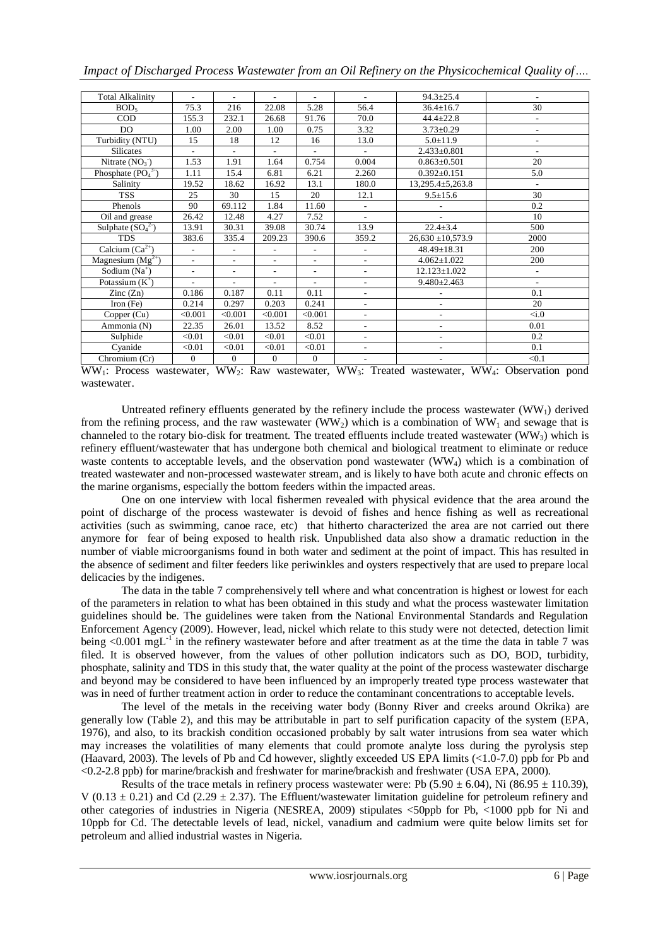*Impact of Discharged Process Wastewater from an Oil Refinery on the Physicochemical Quality of….*

| <b>Total Alkalinity</b>        | $\overline{a}$           | $\overline{\phantom{a}}$ | ٠                        | $\overline{a}$           | $\overline{a}$           | $94.3 \pm 25.4$          | $\overline{a}$           |
|--------------------------------|--------------------------|--------------------------|--------------------------|--------------------------|--------------------------|--------------------------|--------------------------|
| BOD <sub>5</sub>               | 75.3                     | 216                      | 22.08                    | 5.28                     | 56.4                     | $36.4 \pm 16.7$          | 30                       |
| COD                            | 155.3                    | 232.1                    | 26.68                    | 91.76                    | 70.0                     | $44.4 + 22.8$            | $\overline{\phantom{a}}$ |
| DO                             | 1.00                     | 2.00                     | 1.00                     | 0.75                     | 3.32                     | $3.73 \pm 0.29$          | $\overline{\phantom{a}}$ |
| Turbidity (NTU)                | 15                       | 18                       | 12                       | 16                       | 13.0                     | $5.0 \pm 11.9$           | $\overline{\phantom{a}}$ |
| <b>Silicates</b>               | L,                       | $\overline{\phantom{a}}$ | ÷,                       | ٠                        | $\sim$                   | $2.433 \pm 0.801$        | $\sim$                   |
| Nitrate $(NO3)$                | 1.53                     | 1.91                     | 1.64                     | 0.754                    | 0.004                    | $0.863 \pm 0.501$        | 20                       |
| Phosphate $(PO43)$             | 1.11                     | 15.4                     | 6.81                     | 6.21                     | 2.260                    | $0.392 \pm 0.151$        | 5.0                      |
| Salinity                       | 19.52                    | 18.62                    | 16.92                    | 13.1                     | 180.0                    | $13,295.4 \pm 5,263.8$   | $\blacksquare$           |
| <b>TSS</b>                     | 25                       | 30                       | 15                       | 20                       | 12.1                     | $9.5 \pm 15.6$           | 30                       |
| Phenols                        | 90                       | 69.112                   | 1.84                     | 11.60                    | $\overline{\phantom{a}}$ |                          | 0.2                      |
| Oil and grease                 | 26.42                    | 12.48                    | 4.27                     | 7.52                     | $\sim$                   |                          | 10                       |
| Sulphate $(SO_4^2)$            | 13.91                    | 30.31                    | 39.08                    | 30.74                    | 13.9                     | $22.4 \pm 3.4$           | 500                      |
| <b>TDS</b>                     | 383.6                    | 335.4                    | 209.23                   | 390.6                    | 359.2                    | $26,630 \pm 10,573.9$    | 2000                     |
| Calcium $(\overline{Ca^{2+}})$ | $\overline{a}$           | $\overline{\phantom{a}}$ | L,                       | $\overline{\phantom{a}}$ | $\overline{\phantom{a}}$ | $48.49 \pm 18.31$        | 200                      |
| Magnesium $(Mg^{2+})$          | L,                       | $\overline{\phantom{a}}$ | ÷,                       | $\overline{\phantom{a}}$ | ٠                        | $4.062+1.022$            | 200                      |
| Sodium $(Na^+)$                | $\overline{\phantom{a}}$ | $\overline{\phantom{a}}$ | $\overline{\phantom{a}}$ | $\overline{\phantom{a}}$ | $\blacksquare$           | $12.123 \pm 1.022$       | $\blacksquare$           |
| Potassium $(K^+)$              | ÷,                       | $\overline{\phantom{a}}$ | $\overline{\phantom{a}}$ | $\overline{\phantom{a}}$ | $\overline{\phantom{a}}$ | $9.480 \pm 2.463$        | $\overline{\phantom{a}}$ |
| $\text{Zinc}(\text{Zn})$       | 0.186                    | 0.187                    | 0.11                     | 0.11                     | $\overline{\phantom{a}}$ | $\overline{\phantom{0}}$ | 0.1                      |
| Iron $(Fe)$                    | 0.214                    | 0.297                    | 0.203                    | 0.241                    | $\overline{\phantom{0}}$ | ٠                        | 20                       |
| Copper (Cu)                    | < 0.001                  | < 0.001                  | < 0.001                  | < 0.001                  | $\overline{\phantom{a}}$ | $\overline{\phantom{0}}$ | $\langle i.0$            |
| Ammonia (N)                    | 22.35                    | 26.01                    | 13.52                    | 8.52                     | $\overline{\phantom{a}}$ | $\overline{\phantom{0}}$ | 0.01                     |
| Sulphide                       | < 0.01                   | < 0.01                   | < 0.01                   | < 0.01                   | $\overline{\phantom{a}}$ | $\overline{\phantom{0}}$ | 0.2                      |
| Cyanide                        | < 0.01                   | < 0.01                   | < 0.01                   | < 0.01                   |                          | $\overline{\phantom{0}}$ | 0.1                      |
| Chromium (Cr)                  | $\Omega$                 | $\Omega$                 | $\Omega$                 | $\mathbf{0}$             |                          |                          | < 0.1                    |

WW1: Process wastewater, WW2: Raw wastewater, WW3: Treated wastewater, WW4: Observation pond wastewater.

Untreated refinery effluents generated by the refinery include the process wastewater  $(WW_1)$  derived from the refining process, and the raw wastewater (WW<sub>2</sub>) which is a combination of WW<sub>1</sub> and sewage that is channeled to the rotary bio-disk for treatment. The treated effluents include treated wastewater (WW<sub>3</sub>) which is refinery effluent/wastewater that has undergone both chemical and biological treatment to eliminate or reduce waste contents to acceptable levels, and the observation pond wastewater (WW<sub>4</sub>) which is a combination of treated wastewater and non-processed wastewater stream, and is likely to have both acute and chronic effects on the marine organisms, especially the bottom feeders within the impacted areas.

One on one interview with local fishermen revealed with physical evidence that the area around the point of discharge of the process wastewater is devoid of fishes and hence fishing as well as recreational activities (such as swimming, canoe race, etc) that hitherto characterized the area are not carried out there anymore for fear of being exposed to health risk. Unpublished data also show a dramatic reduction in the number of viable microorganisms found in both water and sediment at the point of impact. This has resulted in the absence of sediment and filter feeders like periwinkles and oysters respectively that are used to prepare local delicacies by the indigenes.

The data in the table 7 comprehensively tell where and what concentration is highest or lowest for each of the parameters in relation to what has been obtained in this study and what the process wastewater limitation guidelines should be. The guidelines were taken from the National Environmental Standards and Regulation Enforcement Agency (2009). However, lead, nickel which relate to this study were not detected, detection limit being  $\lt 0.001$  mgL<sup>-1</sup> in the refinery wastewater before and after treatment as at the time the data in table 7 was filed. It is observed however, from the values of other pollution indicators such as DO, BOD, turbidity, phosphate, salinity and TDS in this study that, the water quality at the point of the process wastewater discharge and beyond may be considered to have been influenced by an improperly treated type process wastewater that was in need of further treatment action in order to reduce the contaminant concentrations to acceptable levels.

The level of the metals in the receiving water body (Bonny River and creeks around Okrika) are generally low (Table 2), and this may be attributable in part to self purification capacity of the system (EPA, 1976), and also, to its brackish condition occasioned probably by salt water intrusions from sea water which may increases the volatilities of many elements that could promote analyte loss during the pyrolysis step (Haavard, 2003). The levels of Pb and Cd however, slightly exceeded US EPA limits (<1.0-7.0) ppb for Pb and <0.2-2.8 ppb) for marine/brackish and freshwater for marine/brackish and freshwater (USA EPA, 2000).

Results of the trace metals in refinery process wastewater were: Pb (5.90  $\pm$  6.04), Ni (86.95  $\pm$  110.39), V (0.13  $\pm$  0.21) and Cd (2.29  $\pm$  2.37). The Effluent/wastewater limitation guideline for petroleum refinery and other categories of industries in Nigeria (NESREA, 2009) stipulates <50ppb for Pb, <1000 ppb for Ni and 10ppb for Cd. The detectable levels of lead, nickel, vanadium and cadmium were quite below limits set for petroleum and allied industrial wastes in Nigeria.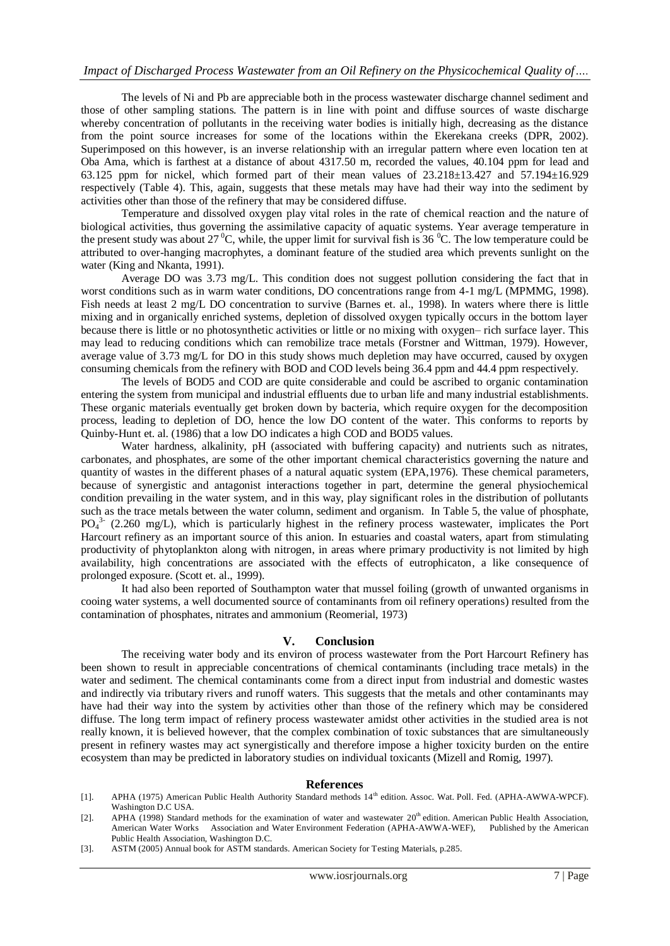The levels of Ni and Pb are appreciable both in the process wastewater discharge channel sediment and those of other sampling stations. The pattern is in line with point and diffuse sources of waste discharge whereby concentration of pollutants in the receiving water bodies is initially high, decreasing as the distance from the point source increases for some of the locations within the Ekerekana creeks (DPR, 2002). Superimposed on this however, is an inverse relationship with an irregular pattern where even location ten at Oba Ama, which is farthest at a distance of about 4317.50 m, recorded the values, 40.104 ppm for lead and 63.125 ppm for nickel, which formed part of their mean values of 23.218±13.427 and 57.194±16.929 respectively (Table 4). This, again, suggests that these metals may have had their way into the sediment by activities other than those of the refinery that may be considered diffuse.

Temperature and dissolved oxygen play vital roles in the rate of chemical reaction and the nature of biological activities, thus governing the assimilative capacity of aquatic systems. Year average temperature in the present study was about 27<sup>°</sup>C, while, the upper limit for survival fish is 36<sup> $>o$ </sup>C. The low temperature could be attributed to over-hanging macrophytes, a dominant feature of the studied area which prevents sunlight on the water (King and Nkanta, 1991).

Average DO was 3.73 mg/L. This condition does not suggest pollution considering the fact that in worst conditions such as in warm water conditions, DO concentrations range from 4-1 mg/L (MPMMG, 1998). Fish needs at least 2 mg/L DO concentration to survive (Barnes et. al., 1998). In waters where there is little mixing and in organically enriched systems, depletion of dissolved oxygen typically occurs in the bottom layer because there is little or no photosynthetic activities or little or no mixing with oxygen– rich surface layer. This may lead to reducing conditions which can remobilize trace metals (Forstner and Wittman, 1979). However, average value of 3.73 mg/L for DO in this study shows much depletion may have occurred, caused by oxygen consuming chemicals from the refinery with BOD and COD levels being 36.4 ppm and 44.4 ppm respectively.

The levels of BOD5 and COD are quite considerable and could be ascribed to organic contamination entering the system from municipal and industrial effluents due to urban life and many industrial establishments. These organic materials eventually get broken down by bacteria, which require oxygen for the decomposition process, leading to depletion of DO, hence the low DO content of the water. This conforms to reports by Quinby-Hunt et. al. (1986) that a low DO indicates a high COD and BOD5 values.

Water hardness, alkalinity, pH (associated with buffering capacity) and nutrients such as nitrates, carbonates, and phosphates, are some of the other important chemical characteristics governing the nature and quantity of wastes in the different phases of a natural aquatic system (EPA,1976). These chemical parameters, because of synergistic and antagonist interactions together in part, determine the general physiochemical condition prevailing in the water system, and in this way, play significant roles in the distribution of pollutants such as the trace metals between the water column, sediment and organism. In Table 5, the value of phosphate, PO<sub>4</sub><sup>3</sup> (2.260 mg/L), which is particularly highest in the refinery process wastewater, implicates the Port Harcourt refinery as an important source of this anion. In estuaries and coastal waters, apart from stimulating productivity of phytoplankton along with nitrogen, in areas where primary productivity is not limited by high availability, high concentrations are associated with the effects of eutrophicaton, a like consequence of prolonged exposure. (Scott et. al., 1999).

It had also been reported of Southampton water that mussel foiling (growth of unwanted organisms in cooing water systems, a well documented source of contaminants from oil refinery operations) resulted from the contamination of phosphates, nitrates and ammonium (Reomerial, 1973)

#### **V. Conclusion**

The receiving water body and its environ of process wastewater from the Port Harcourt Refinery has been shown to result in appreciable concentrations of chemical contaminants (including trace metals) in the water and sediment. The chemical contaminants come from a direct input from industrial and domestic wastes and indirectly via tributary rivers and runoff waters. This suggests that the metals and other contaminants may have had their way into the system by activities other than those of the refinery which may be considered diffuse. The long term impact of refinery process wastewater amidst other activities in the studied area is not really known, it is believed however, that the complex combination of toxic substances that are simultaneously present in refinery wastes may act synergistically and therefore impose a higher toxicity burden on the entire ecosystem than may be predicted in laboratory studies on individual toxicants (Mizell and Romig, 1997).

#### **References**

- [1]. APHA (1975) American Public Health Authority Standard methods 14<sup>th</sup> edition. Assoc. Wat. Poll. Fed. (APHA-AWWA-WPCF). Washington D.C USA.
- [2]. APHA (1998) Standard methods for the examination of water and wastewater 20<sup>th</sup> edition. American Public Health Association, American Water Works Association and Water Environment Federation (APHA-AWWA-WEF), Published by the American Public Health Association, Washington D.C.
- [3]. ASTM (2005) Annual book for ASTM standards. American Society for Testing Materials, p.285.